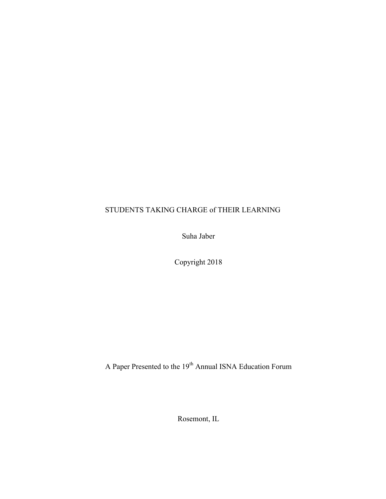Suha Jaber

Copyright 2018

A Paper Presented to the 19<sup>th</sup> Annual ISNA Education Forum

Rosemont, IL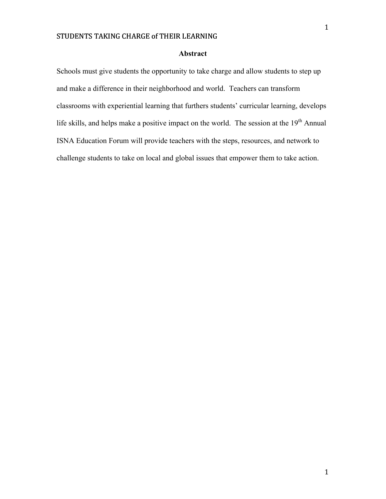# **Abstract**

Schools must give students the opportunity to take charge and allow students to step up and make a difference in their neighborhood and world. Teachers can transform classrooms with experiential learning that furthers students' curricular learning, develops life skills, and helps make a positive impact on the world. The session at the  $19<sup>th</sup>$  Annual ISNA Education Forum will provide teachers with the steps, resources, and network to challenge students to take on local and global issues that empower them to take action.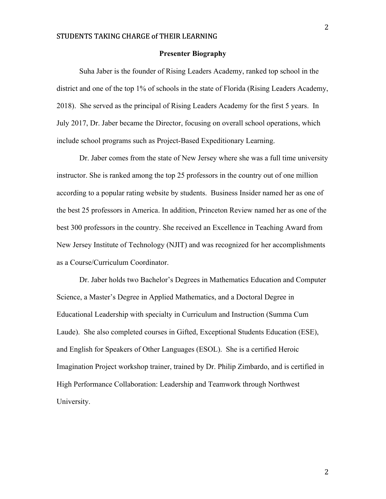## **Presenter Biography**

Suha Jaber is the founder of Rising Leaders Academy, ranked top school in the district and one of the top 1% of schools in the state of Florida (Rising Leaders Academy, 2018). She served as the principal of Rising Leaders Academy for the first 5 years. In July 2017, Dr. Jaber became the Director, focusing on overall school operations, which include school programs such as Project-Based Expeditionary Learning.

Dr. Jaber comes from the state of New Jersey where she was a full time university instructor. She is ranked among the top 25 professors in the country out of one million according to a popular rating website by students. Business Insider named her as one of the best 25 professors in America. In addition, Princeton Review named her as one of the best 300 professors in the country. She received an Excellence in Teaching Award from New Jersey Institute of Technology (NJIT) and was recognized for her accomplishments as a Course/Curriculum Coordinator.

Dr. Jaber holds two Bachelor's Degrees in Mathematics Education and Computer Science, a Master's Degree in Applied Mathematics, and a Doctoral Degree in Educational Leadership with specialty in Curriculum and Instruction (Summa Cum Laude). She also completed courses in Gifted, Exceptional Students Education (ESE), and English for Speakers of Other Languages (ESOL). She is a certified Heroic Imagination Project workshop trainer, trained by Dr. Philip Zimbardo, and is certified in High Performance Collaboration: Leadership and Teamwork through Northwest University.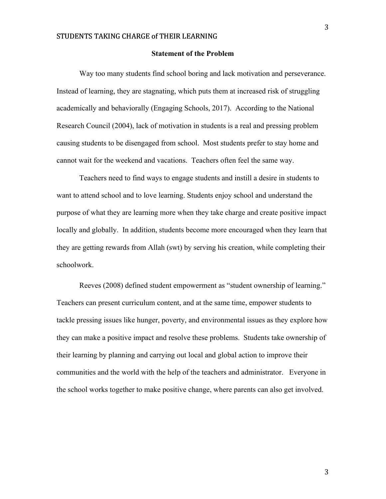## **Statement of the Problem**

Way too many students find school boring and lack motivation and perseverance. Instead of learning, they are stagnating, which puts them at increased risk of struggling academically and behaviorally (Engaging Schools, 2017). According to the National Research Council (2004), lack of motivation in students is a real and pressing problem causing students to be disengaged from school. Most students prefer to stay home and cannot wait for the weekend and vacations. Teachers often feel the same way.

Teachers need to find ways to engage students and instill a desire in students to want to attend school and to love learning. Students enjoy school and understand the purpose of what they are learning more when they take charge and create positive impact locally and globally. In addition, students become more encouraged when they learn that they are getting rewards from Allah (swt) by serving his creation, while completing their schoolwork.

Reeves (2008) defined student empowerment as "student ownership of learning." Teachers can present curriculum content, and at the same time, empower students to tackle pressing issues like hunger, poverty, and environmental issues as they explore how they can make a positive impact and resolve these problems. Students take ownership of their learning by planning and carrying out local and global action to improve their communities and the world with the help of the teachers and administrator. Everyone in the school works together to make positive change, where parents can also get involved.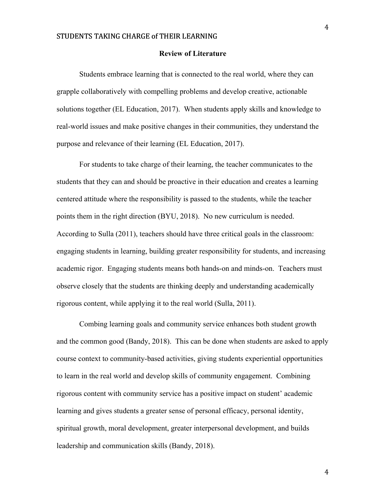## **Review of Literature**

Students embrace learning that is connected to the real world, where they can grapple collaboratively with compelling problems and develop creative, actionable solutions together (EL Education, 2017). When students apply skills and knowledge to real-world issues and make positive changes in their communities, they understand the purpose and relevance of their learning (EL Education, 2017).

For students to take charge of their learning, the teacher communicates to the students that they can and should be proactive in their education and creates a learning centered attitude where the responsibility is passed to the students, while the teacher points them in the right direction (BYU, 2018). No new curriculum is needed. According to Sulla (2011), teachers should have three critical goals in the classroom: engaging students in learning, building greater responsibility for students, and increasing academic rigor. Engaging students means both hands-on and minds-on. Teachers must observe closely that the students are thinking deeply and understanding academically rigorous content, while applying it to the real world (Sulla, 2011).

Combing learning goals and community service enhances both student growth and the common good (Bandy, 2018). This can be done when students are asked to apply course context to community-based activities, giving students experiential opportunities to learn in the real world and develop skills of community engagement. Combining rigorous content with community service has a positive impact on student' academic learning and gives students a greater sense of personal efficacy, personal identity, spiritual growth, moral development, greater interpersonal development, and builds leadership and communication skills (Bandy, 2018).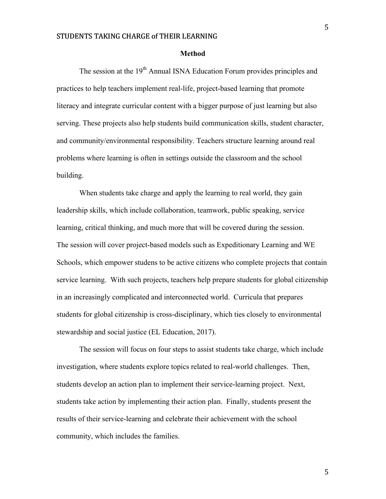#### **Method**

The session at the 19<sup>th</sup> Annual ISNA Education Forum provides principles and practices to help teachers implement real-life, project-based learning that promote literacy and integrate curricular content with a bigger purpose of just learning but also serving. These projects also help students build communication skills, student character, and community/environmental responsibility. Teachers structure learning around real problems where learning is often in settings outside the classroom and the school building.

When students take charge and apply the learning to real world, they gain leadership skills, which include collaboration, teamwork, public speaking, service learning, critical thinking, and much more that will be covered during the session. The session will cover project-based models such as Expeditionary Learning and WE Schools, which empower studens to be active citizens who complete projects that contain service learning. With such projects, teachers help prepare students for global citizenship in an increasingly complicated and interconnected world. Curricula that prepares students for global citizenship is cross-disciplinary, which ties closely to environmental stewardship and social justice (EL Education, 2017).

The session will focus on four steps to assist students take charge, which include investigation, where students explore topics related to real-world challenges. Then, students develop an action plan to implement their service-learning project. Next, students take action by implementing their action plan. Finally, students present the results of their service-learning and celebrate their achievement with the school community, which includes the families.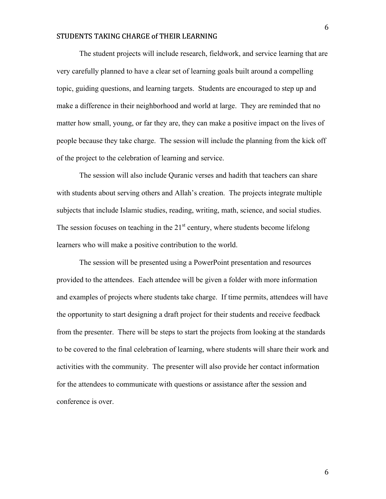The student projects will include research, fieldwork, and service learning that are very carefully planned to have a clear set of learning goals built around a compelling topic, guiding questions, and learning targets. Students are encouraged to step up and make a difference in their neighborhood and world at large. They are reminded that no matter how small, young, or far they are, they can make a positive impact on the lives of people because they take charge. The session will include the planning from the kick off of the project to the celebration of learning and service.

The session will also include Quranic verses and hadith that teachers can share with students about serving others and Allah's creation. The projects integrate multiple subjects that include Islamic studies, reading, writing, math, science, and social studies. The session focuses on teaching in the  $21<sup>st</sup>$  century, where students become lifelong learners who will make a positive contribution to the world.

The session will be presented using a PowerPoint presentation and resources provided to the attendees. Each attendee will be given a folder with more information and examples of projects where students take charge. If time permits, attendees will have the opportunity to start designing a draft project for their students and receive feedback from the presenter. There will be steps to start the projects from looking at the standards to be covered to the final celebration of learning, where students will share their work and activities with the community. The presenter will also provide her contact information for the attendees to communicate with questions or assistance after the session and conference is over.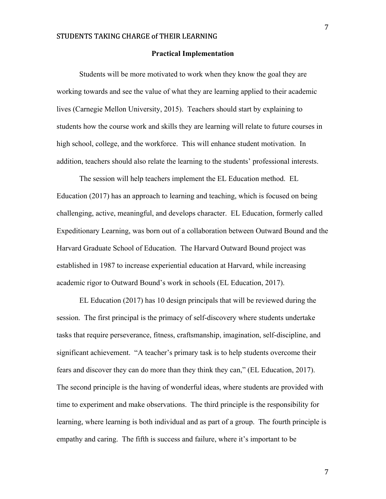## **Practical Implementation**

Students will be more motivated to work when they know the goal they are working towards and see the value of what they are learning applied to their academic lives (Carnegie Mellon University, 2015). Teachers should start by explaining to students how the course work and skills they are learning will relate to future courses in high school, college, and the workforce. This will enhance student motivation. In addition, teachers should also relate the learning to the students' professional interests.

The session will help teachers implement the EL Education method. EL Education (2017) has an approach to learning and teaching, which is focused on being challenging, active, meaningful, and develops character. EL Education, formerly called Expeditionary Learning, was born out of a collaboration between Outward Bound and the Harvard Graduate School of Education. The Harvard Outward Bound project was established in 1987 to increase experiential education at Harvard, while increasing academic rigor to Outward Bound's work in schools (EL Education, 2017).

EL Education (2017) has 10 design principals that will be reviewed during the session. The first principal is the primacy of self-discovery where students undertake tasks that require perseverance, fitness, craftsmanship, imagination, self-discipline, and significant achievement. "A teacher's primary task is to help students overcome their fears and discover they can do more than they think they can," (EL Education, 2017). The second principle is the having of wonderful ideas, where students are provided with time to experiment and make observations. The third principle is the responsibility for learning, where learning is both individual and as part of a group. The fourth principle is empathy and caring. The fifth is success and failure, where it's important to be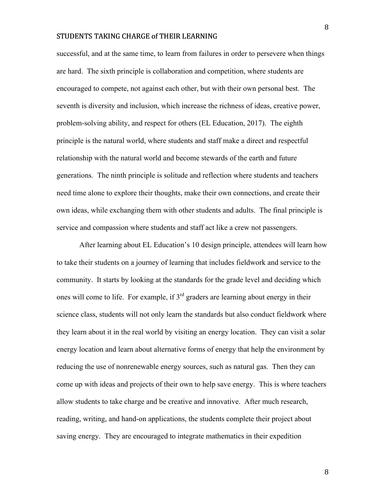successful, and at the same time, to learn from failures in order to persevere when things are hard. The sixth principle is collaboration and competition, where students are encouraged to compete, not against each other, but with their own personal best. The seventh is diversity and inclusion, which increase the richness of ideas, creative power, problem-solving ability, and respect for others (EL Education, 2017). The eighth principle is the natural world, where students and staff make a direct and respectful relationship with the natural world and become stewards of the earth and future generations. The ninth principle is solitude and reflection where students and teachers need time alone to explore their thoughts, make their own connections, and create their own ideas, while exchanging them with other students and adults. The final principle is service and compassion where students and staff act like a crew not passengers.

After learning about EL Education's 10 design principle, attendees will learn how to take their students on a journey of learning that includes fieldwork and service to the community. It starts by looking at the standards for the grade level and deciding which ones will come to life. For example, if  $3<sup>rd</sup>$  graders are learning about energy in their science class, students will not only learn the standards but also conduct fieldwork where they learn about it in the real world by visiting an energy location. They can visit a solar energy location and learn about alternative forms of energy that help the environment by reducing the use of nonrenewable energy sources, such as natural gas. Then they can come up with ideas and projects of their own to help save energy. This is where teachers allow students to take charge and be creative and innovative. After much research, reading, writing, and hand-on applications, the students complete their project about saving energy. They are encouraged to integrate mathematics in their expedition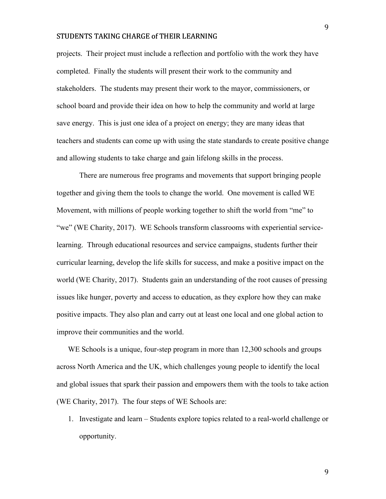projects. Their project must include a reflection and portfolio with the work they have completed. Finally the students will present their work to the community and stakeholders. The students may present their work to the mayor, commissioners, or school board and provide their idea on how to help the community and world at large save energy. This is just one idea of a project on energy; they are many ideas that teachers and students can come up with using the state standards to create positive change and allowing students to take charge and gain lifelong skills in the process.

There are numerous free programs and movements that support bringing people together and giving them the tools to change the world. One movement is called WE Movement, with millions of people working together to shift the world from "me" to "we" (WE Charity, 2017). WE Schools transform classrooms with experiential servicelearning. Through educational resources and service campaigns, students further their curricular learning, develop the life skills for success, and make a positive impact on the world (WE Charity, 2017). Students gain an understanding of the root causes of pressing issues like hunger, poverty and access to education, as they explore how they can make positive impacts. They also plan and carry out at least one local and one global action to improve their communities and the world.

WE Schools is a unique, four-step program in more than  $12,300$  schools and groups across North America and the UK, which challenges young people to identify the local and global issues that spark their passion and empowers them with the tools to take action (WE Charity, 2017). The four steps of WE Schools are:

1. Investigate and learn – Students explore topics related to a real-world challenge or opportunity.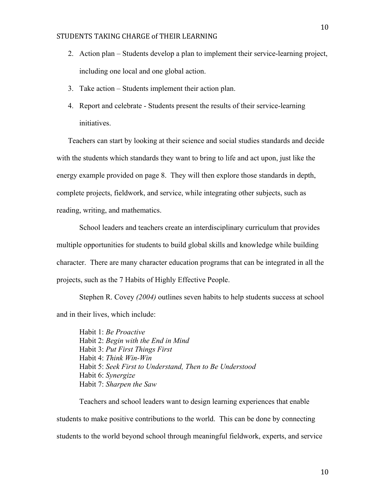- 2. Action plan Students develop a plan to implement their service-learning project, including one local and one global action.
- 3. Take action Students implement their action plan.
- 4. Report and celebrate Students present the results of their service-learning initiatives.

Teachers can start by looking at their science and social studies standards and decide with the students which standards they want to bring to life and act upon, just like the energy example provided on page 8. They will then explore those standards in depth, complete projects, fieldwork, and service, while integrating other subjects, such as reading, writing, and mathematics.

School leaders and teachers create an interdisciplinary curriculum that provides multiple opportunities for students to build global skills and knowledge while building character. There are many character education programs that can be integrated in all the projects, such as the 7 Habits of Highly Effective People.

Stephen R. Covey *(2004)* outlines seven habits to help students success at school and in their lives, which include:

Habit 1: *Be Proactive* Habit 2: *Begin with the End in Mind* Habit 3: *Put First Things First* Habit 4: *Think Win-Win* Habit 5: *Seek First to Understand, Then to Be Understood* Habit 6: *Synergize* Habit 7: *Sharpen the Saw*

Teachers and school leaders want to design learning experiences that enable students to make positive contributions to the world. This can be done by connecting students to the world beyond school through meaningful fieldwork, experts, and service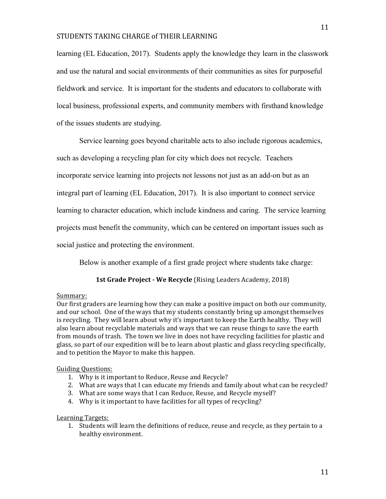learning (EL Education, 2017). Students apply the knowledge they learn in the classwork and use the natural and social environments of their communities as sites for purposeful fieldwork and service. It is important for the students and educators to collaborate with local business, professional experts, and community members with firsthand knowledge of the issues students are studying.

Service learning goes beyond charitable acts to also include rigorous academics,

such as developing a recycling plan for city which does not recycle. Teachers

incorporate service learning into projects not lessons not just as an add-on but as an

integral part of learning (EL Education, 2017). It is also important to connect service

learning to character education, which include kindness and caring. The service learning

projects must benefit the community, which can be centered on important issues such as

social justice and protecting the environment.

Below is another example of a first grade project where students take charge:

**1st Grade Project - We Recycle** (Rising Leaders Academy, 2018)

# Summary:

Our first graders are learning how they can make a positive impact on both our community, and our school. One of the ways that my students constantly bring up amongst themselves is recycling. They will learn about why it's important to keep the Earth healthy. They will also learn about recyclable materials and ways that we can reuse things to save the earth from mounds of trash. The town we live in does not have recycling facilities for plastic and glass, so part of our expedition will be to learn about plastic and glass recycling specifically, and to petition the Mayor to make this happen.

# Guiding Ouestions:

- 1. Why is it important to Reduce, Reuse and Recycle?
- 2. What are ways that I can educate my friends and family about what can be recycled?
- 3. What are some ways that I can Reduce, Reuse, and Recycle myself?
- 4. Why is it important to have facilities for all types of recycling?

# Learning Targets:

1. Students will learn the definitions of reduce, reuse and recycle, as they pertain to a healthy environment.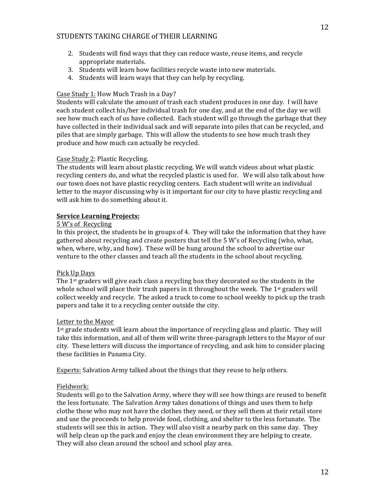- 2. Students will find ways that they can reduce waste, reuse items, and recycle appropriate materials.
- 3. Students will learn how facilities recycle waste into new materials.
- 4. Students will learn ways that they can help by recycling.

# Case Study 1: How Much Trash in a Day?

Students will calculate the amount of trash each student produces in one day. I will have each student collect his/her individual trash for one day, and at the end of the day we will see how much each of us have collected. Each student will go through the garbage that they have collected in their individual sack and will separate into piles that can be recycled, and piles that are simply garbage. This will allow the students to see how much trash they produce and how much can actually be recycled.

## Case Study 2: Plastic Recycling.

The students will learn about plastic recycling. We will watch videos about what plastic recycling centers do, and what the recycled plastic is used for. We will also talk about how our town does not have plastic recycling centers. Each student will write an individual letter to the mayor discussing why is it important for our city to have plastic recycling and will ask him to do something about it.

## **Service Learning Projects:**

## 5 W's of Recycling

In this project, the students be in groups of 4. They will take the information that they have gathered about recycling and create posters that tell the 5 W's of Recycling (who, what, when, where, why, and how). These will be hung around the school to advertise our venture to the other classes and teach all the students in the school about recycling.

#### Pick Up Days

The  $1$ <sup>st</sup> graders will give each class a recycling box they decorated so the students in the whole school will place their trash papers in it throughout the week. The  $1$ <sup>st</sup> graders will collect weekly and recycle. The asked a truck to come to school weekly to pick up the trash papers and take it to a recycling center outside the city.

## Letter to the Mayor

 $1<sup>st</sup>$  grade students will learn about the importance of recycling glass and plastic. They will take this information, and all of them will write three-paragraph letters to the Mayor of our city. These letters will discuss the importance of recycling, and ask him to consider placing these facilities in Panama City.

Experts: Salvation Army talked about the things that they reuse to help others.

#### Fieldwork:

Students will go to the Salvation Army, where they will see how things are reused to benefit the less fortunate. The Salvation Army takes donations of things and uses them to help clothe those who may not have the clothes they need, or they sell them at their retail store and use the proceeds to help provide food, clothing, and shelter to the less fortunate. The students will see this in action. They will also visit a nearby park on this same day. They will help clean up the park and enjoy the clean environment they are helping to create. They will also clean around the school and school play area.